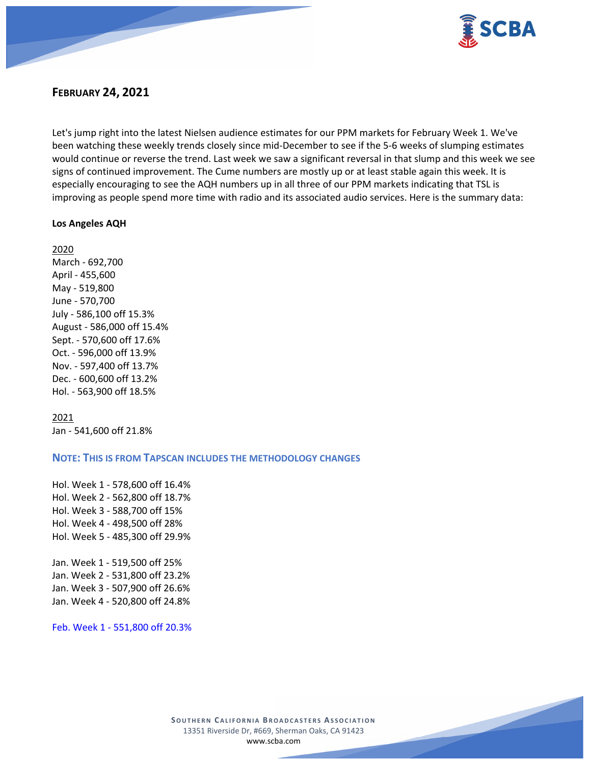

# **FEBRUARY 24, 2021**

Let's jump right into the latest Nielsen audience estimates for our PPM markets for February Week 1. We've been watching these weekly trends closely since mid-December to see if the 5-6 weeks of slumping estimates would continue or reverse the trend. Last week we saw a significant reversal in that slump and this week we see signs of continued improvement. The Cume numbers are mostly up or at least stable again this week. It is especially encouraging to see the AQH numbers up in all three of our PPM markets indicating that TSL is improving as people spend more time with radio and its associated audio services. Here is the summary data:

#### **Los Angeles AQH**

2020 March - 692,700 April - 455,600 May - 519,800 June - 570,700 July - 586,100 off 15.3% August - 586,000 off 15.4% Sept. - 570,600 off 17.6% Oct. - 596,000 off 13.9% Nov. - 597,400 off 13.7% Dec. - 600,600 off 13.2% Hol. - 563,900 off 18.5%

2021 Jan - 541,600 off 21.8%

#### **NOTE: THIS IS FROM TAPSCAN INCLUDES THE METHODOLOGY CHANGES**

Hol. Week 1 - 578,600 off 16.4% Hol. Week 2 - 562,800 off 18.7% Hol. Week 3 - 588,700 off 15% Hol. Week 4 - 498,500 off 28% Hol. Week 5 - 485,300 off 29.9% Jan. Week 1 - 519,500 off 25% Jan. Week 2 - 531,800 off 23.2%

Jan. Week 3 - 507,900 off 26.6% Jan. Week 4 - 520,800 off 24.8%

Feb. Week 1 - 551,800 off 20.3%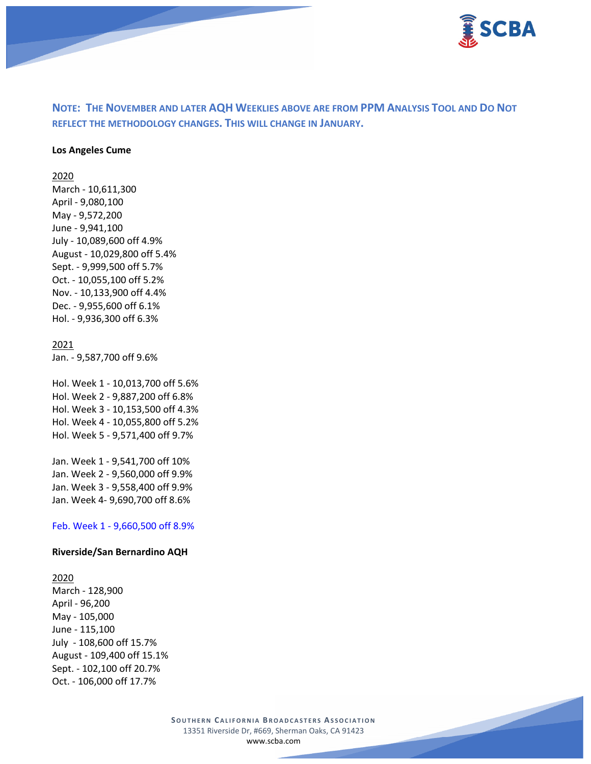

# **NOTE: THE NOVEMBER AND LATER AQH WEEKLIES ABOVE ARE FROM PPM ANALYSIS TOOL AND DO NOT REFLECT THE METHODOLOGY CHANGES. THIS WILL CHANGE IN JANUARY.**

#### **Los Angeles Cume**

2020

March - 10,611,300 April - 9,080,100 May - 9,572,200 June - 9,941,100 July - 10,089,600 off 4.9% August - 10,029,800 off 5.4% Sept. - 9,999,500 off 5.7% Oct. - 10,055,100 off 5.2% Nov. - 10,133,900 off 4.4% Dec. - 9,955,600 off 6.1% Hol. - 9,936,300 off 6.3%

#### 2021

Jan. - 9,587,700 off 9.6%

Hol. Week 1 - 10,013,700 off 5.6% Hol. Week 2 - 9,887,200 off 6.8% Hol. Week 3 - 10,153,500 off 4.3% Hol. Week 4 - 10,055,800 off 5.2% Hol. Week 5 - 9,571,400 off 9.7%

Jan. Week 1 - 9,541,700 off 10% Jan. Week 2 - 9,560,000 off 9.9% Jan. Week 3 - 9,558,400 off 9.9% Jan. Week 4- 9,690,700 off 8.6%

Feb. Week 1 - 9,660,500 off 8.9%

#### **Riverside/San Bernardino AQH**

#### 2020

March - 128,900 April - 96,200 May - 105,000 June - 115,100 July - 108,600 off 15.7% August - 109,400 off 15.1% Sept. - 102,100 off 20.7% Oct. - 106,000 off 17.7%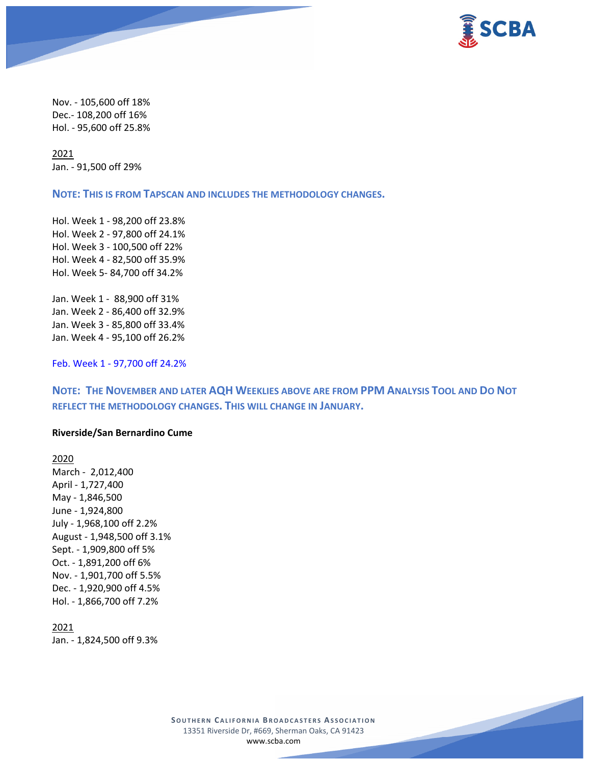

Nov. - 105,600 off 18% Dec.- 108,200 off 16% Hol. - 95,600 off 25.8%

2021 Jan. - 91,500 off 29%

**NOTE: THIS IS FROM TAPSCAN AND INCLUDES THE METHODOLOGY CHANGES.** 

Hol. Week 1 - 98,200 off 23.8% Hol. Week 2 - 97,800 off 24.1% Hol. Week 3 - 100,500 off 22% Hol. Week 4 - 82,500 off 35.9% Hol. Week 5- 84,700 off 34.2%

Jan. Week 1 - 88,900 off 31% Jan. Week 2 - 86,400 off 32.9% Jan. Week 3 - 85,800 off 33.4% Jan. Week 4 - 95,100 off 26.2%

Feb. Week 1 - 97,700 off 24.2%

**NOTE: THE NOVEMBER AND LATER AQH WEEKLIES ABOVE ARE FROM PPM ANALYSIS TOOL AND DO NOT REFLECT THE METHODOLOGY CHANGES. THIS WILL CHANGE IN JANUARY.**

#### **Riverside/San Bernardino Cume**

2020 March - 2,012,400 April - 1,727,400 May - 1,846,500 June - 1,924,800 July - 1,968,100 off 2.2% August - 1,948,500 off 3.1% Sept. - 1,909,800 off 5% Oct. - 1,891,200 off 6% Nov. - 1,901,700 off 5.5% Dec. - 1,920,900 off 4.5% Hol. - 1,866,700 off 7.2%

2021 Jan. - 1,824,500 off 9.3%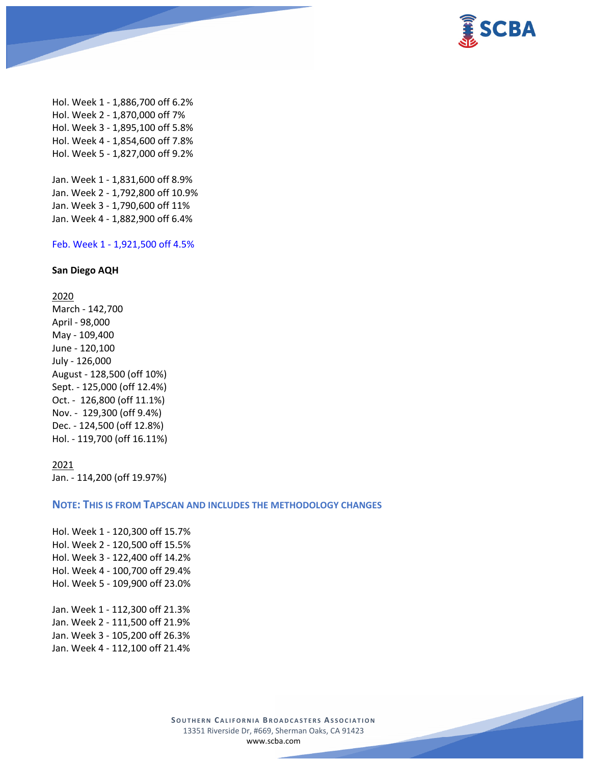

Hol. Week 1 - 1,886,700 off 6.2% Hol. Week 2 - 1,870,000 off 7% Hol. Week 3 - 1,895,100 off 5.8% Hol. Week 4 - 1,854,600 off 7.8% Hol. Week 5 - 1,827,000 off 9.2% Jan. Week 1 - 1,831,600 off 8.9%

Jan. Week 2 - 1,792,800 off 10.9% Jan. Week 3 - 1,790,600 off 11% Jan. Week 4 - 1,882,900 off 6.4%

## Feb. Week 1 - 1,921,500 off 4.5%

#### **San Diego AQH**

2020

March - 142,700 April - 98,000 May - 109,400 June - 120,100 July - 126,000 August - 128,500 (off 10%) Sept. - 125,000 (off 12.4%) Oct. - 126,800 (off 11.1%) Nov. - 129,300 (off 9.4%) Dec. - 124,500 (off 12.8%) Hol. - 119,700 (off 16.11%)

#### 2021

Jan. - 114,200 (off 19.97%)

## **NOTE: THIS IS FROM TAPSCAN AND INCLUDES THE METHODOLOGY CHANGES**

Hol. Week 1 - 120,300 off 15.7% Hol. Week 2 - 120,500 off 15.5% Hol. Week 3 - 122,400 off 14.2% Hol. Week 4 - 100,700 off 29.4% Hol. Week 5 - 109,900 off 23.0% Jan. Week 1 - 112,300 off 21.3% Jan. Week 2 - 111,500 off 21.9% Jan. Week 3 - 105,200 off 26.3% Jan. Week 4 - 112,100 off 21.4%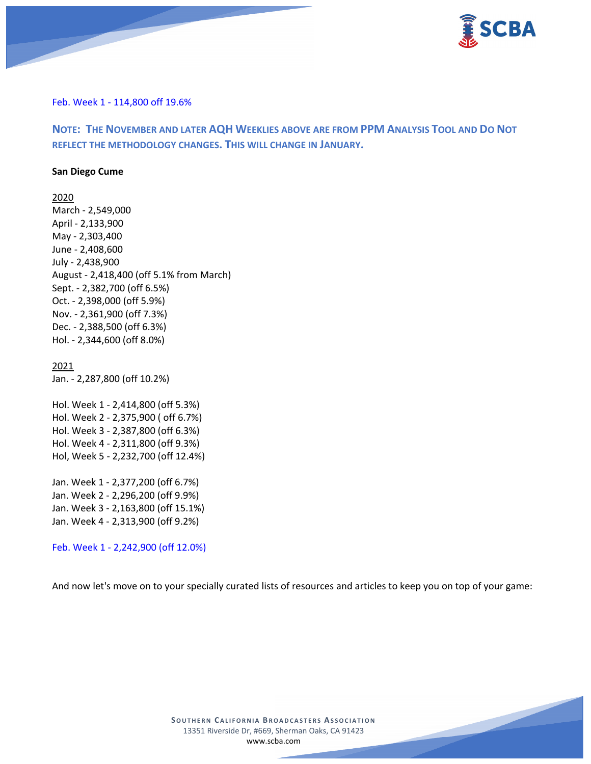

Feb. Week 1 - 114,800 off 19.6%

**NOTE: THE NOVEMBER AND LATER AQH WEEKLIES ABOVE ARE FROM PPM ANALYSIS TOOL AND DO NOT REFLECT THE METHODOLOGY CHANGES. THIS WILL CHANGE IN JANUARY.**

#### **San Diego Cume**

2020 March - 2,549,000 April - 2,133,900 May - 2,303,400 June - 2,408,600 July - 2,438,900 August - 2,418,400 (off 5.1% from March) Sept. - 2,382,700 (off 6.5%) Oct. - 2,398,000 (off 5.9%) Nov. - 2,361,900 (off 7.3%) Dec. - 2,388,500 (off 6.3%) Hol. - 2,344,600 (off 8.0%)

#### 2021

Jan. - 2,287,800 (off 10.2%)

Hol. Week 1 - 2,414,800 (off 5.3%) Hol. Week 2 - 2,375,900 ( off 6.7%) Hol. Week 3 - 2,387,800 (off 6.3%) Hol. Week 4 - 2,311,800 (off 9.3%) Hol, Week 5 - 2,232,700 (off 12.4%) Jan. Week 1 - 2,377,200 (off 6.7%) Jan. Week 2 - 2,296,200 (off 9.9%)

Jan. Week 3 - 2,163,800 (off 15.1%) Jan. Week 4 - 2,313,900 (off 9.2%)

Feb. Week 1 - 2,242,900 (off 12.0%)

And now let's move on to your specially curated lists of resources and articles to keep you on top of your game:

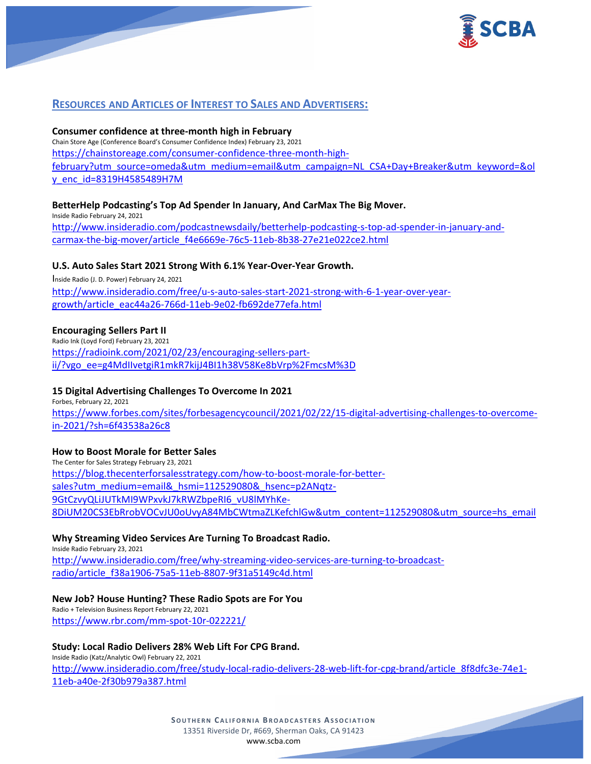

# **RESOURCES AND ARTICLES OF INTEREST TO SALES AND ADVERTISERS:**

#### **Consumer confidence at three-month high in February**

Chain Store Age (Conference Board's Consumer Confidence Index) February 23, 2021 [https://chainstoreage.com/consumer-confidence-three-month-high](https://chainstoreage.com/consumer-confidence-three-month-high-february?utm_source=omeda&utm_medium=email&utm_campaign=NL_CSA+Day+Breaker&utm_keyword=&oly_enc_id=8319H4585489H7M)[february?utm\\_source=omeda&utm\\_medium=email&utm\\_campaign=NL\\_CSA+Day+Breaker&utm\\_keyword=&ol](https://chainstoreage.com/consumer-confidence-three-month-high-february?utm_source=omeda&utm_medium=email&utm_campaign=NL_CSA+Day+Breaker&utm_keyword=&oly_enc_id=8319H4585489H7M) [y\\_enc\\_id=8319H4585489H7M](https://chainstoreage.com/consumer-confidence-three-month-high-february?utm_source=omeda&utm_medium=email&utm_campaign=NL_CSA+Day+Breaker&utm_keyword=&oly_enc_id=8319H4585489H7M)

#### **BetterHelp Podcasting's Top Ad Spender In January, And CarMax The Big Mover.**

Inside Radio February 24, 2021 [http://www.insideradio.com/podcastnewsdaily/betterhelp-podcasting-s-top-ad-spender-in-january-and](http://www.insideradio.com/podcastnewsdaily/betterhelp-podcasting-s-top-ad-spender-in-january-and-carmax-the-big-mover/article_f4e6669e-76c5-11eb-8b38-27e21e022ce2.html)[carmax-the-big-mover/article\\_f4e6669e-76c5-11eb-8b38-27e21e022ce2.html](http://www.insideradio.com/podcastnewsdaily/betterhelp-podcasting-s-top-ad-spender-in-january-and-carmax-the-big-mover/article_f4e6669e-76c5-11eb-8b38-27e21e022ce2.html)

#### **U.S. Auto Sales Start 2021 Strong With 6.1% Year-Over-Year Growth.**

Inside Radio (J. D. Power) February 24, 2021 [http://www.insideradio.com/free/u-s-auto-sales-start-2021-strong-with-6-1-year-over-year](http://www.insideradio.com/free/u-s-auto-sales-start-2021-strong-with-6-1-year-over-year-growth/article_eac44a26-766d-11eb-9e02-fb692de77efa.html)[growth/article\\_eac44a26-766d-11eb-9e02-fb692de77efa.html](http://www.insideradio.com/free/u-s-auto-sales-start-2021-strong-with-6-1-year-over-year-growth/article_eac44a26-766d-11eb-9e02-fb692de77efa.html)

#### **Encouraging Sellers Part II**

Radio Ink (Loyd Ford) February 23, 2021 [https://radioink.com/2021/02/23/encouraging-sellers-part](https://radioink.com/2021/02/23/encouraging-sellers-part-ii/?vgo_ee=g4MdIIvetgiR1mkR7kijJ4BI1h38V58Ke8bVrp%2FmcsM%3D)[ii/?vgo\\_ee=g4MdIIvetgiR1mkR7kijJ4BI1h38V58Ke8bVrp%2FmcsM%3D](https://radioink.com/2021/02/23/encouraging-sellers-part-ii/?vgo_ee=g4MdIIvetgiR1mkR7kijJ4BI1h38V58Ke8bVrp%2FmcsM%3D)

#### **15 Digital Advertising Challenges To Overcome In 2021**

Forbes, February 22, 2021 [https://www.forbes.com/sites/forbesagencycouncil/2021/02/22/15-digital-advertising-challenges-to-overcome](https://www.forbes.com/sites/forbesagencycouncil/2021/02/22/15-digital-advertising-challenges-to-overcome-in-2021/?sh=6f43538a26c8)[in-2021/?sh=6f43538a26c8](https://www.forbes.com/sites/forbesagencycouncil/2021/02/22/15-digital-advertising-challenges-to-overcome-in-2021/?sh=6f43538a26c8)

#### **How to Boost Morale for Better Sales**

The Center for Sales Strategy February 23, 2021 [https://blog.thecenterforsalesstrategy.com/how-to-boost-morale-for-better](https://blog.thecenterforsalesstrategy.com/how-to-boost-morale-for-better-sales?utm_medium=email&_hsmi=112529080&_hsenc=p2ANqtz-9GtCzvyQLiJUTkMI9WPxvkJ7kRWZbpeRI6_vU8lMYhKe-8DiUM20CS3EbRrobVOCvJU0oUvyA84MbCWtmaZLKefchlGw&utm_content=112529080&utm_source=hs_email)[sales?utm\\_medium=email&\\_hsmi=112529080&\\_hsenc=p2ANqtz-](https://blog.thecenterforsalesstrategy.com/how-to-boost-morale-for-better-sales?utm_medium=email&_hsmi=112529080&_hsenc=p2ANqtz-9GtCzvyQLiJUTkMI9WPxvkJ7kRWZbpeRI6_vU8lMYhKe-8DiUM20CS3EbRrobVOCvJU0oUvyA84MbCWtmaZLKefchlGw&utm_content=112529080&utm_source=hs_email)[9GtCzvyQLiJUTkMI9WPxvkJ7kRWZbpeRI6\\_vU8lMYhKe-](https://blog.thecenterforsalesstrategy.com/how-to-boost-morale-for-better-sales?utm_medium=email&_hsmi=112529080&_hsenc=p2ANqtz-9GtCzvyQLiJUTkMI9WPxvkJ7kRWZbpeRI6_vU8lMYhKe-8DiUM20CS3EbRrobVOCvJU0oUvyA84MbCWtmaZLKefchlGw&utm_content=112529080&utm_source=hs_email)[8DiUM20CS3EbRrobVOCvJU0oUvyA84MbCWtmaZLKefchlGw&utm\\_content=112529080&utm\\_source=hs\\_email](https://blog.thecenterforsalesstrategy.com/how-to-boost-morale-for-better-sales?utm_medium=email&_hsmi=112529080&_hsenc=p2ANqtz-9GtCzvyQLiJUTkMI9WPxvkJ7kRWZbpeRI6_vU8lMYhKe-8DiUM20CS3EbRrobVOCvJU0oUvyA84MbCWtmaZLKefchlGw&utm_content=112529080&utm_source=hs_email)

#### **Why Streaming Video Services Are Turning To Broadcast Radio.**

Inside Radio February 23, 2021 [http://www.insideradio.com/free/why-streaming-video-services-are-turning-to-broadcast](http://www.insideradio.com/free/why-streaming-video-services-are-turning-to-broadcast-radio/article_f38a1906-75a5-11eb-8807-9f31a5149c4d.html)[radio/article\\_f38a1906-75a5-11eb-8807-9f31a5149c4d.html](http://www.insideradio.com/free/why-streaming-video-services-are-turning-to-broadcast-radio/article_f38a1906-75a5-11eb-8807-9f31a5149c4d.html)

#### **New Job? House Hunting? These Radio Spots are For You**

Radio + Television Business Report February 22, 2021 <https://www.rbr.com/mm-spot-10r-022221/>

#### **Study: Local Radio Delivers 28% Web Lift For CPG Brand.**

Inside Radio (Katz/Analytic Owl) February 22, 2021 [http://www.insideradio.com/free/study-local-radio-delivers-28-web-lift-for-cpg-brand/article\\_8f8dfc3e-74e1-](http://www.insideradio.com/free/study-local-radio-delivers-28-web-lift-for-cpg-brand/article_8f8dfc3e-74e1-11eb-a40e-2f30b979a387.html) [11eb-a40e-2f30b979a387.html](http://www.insideradio.com/free/study-local-radio-delivers-28-web-lift-for-cpg-brand/article_8f8dfc3e-74e1-11eb-a40e-2f30b979a387.html)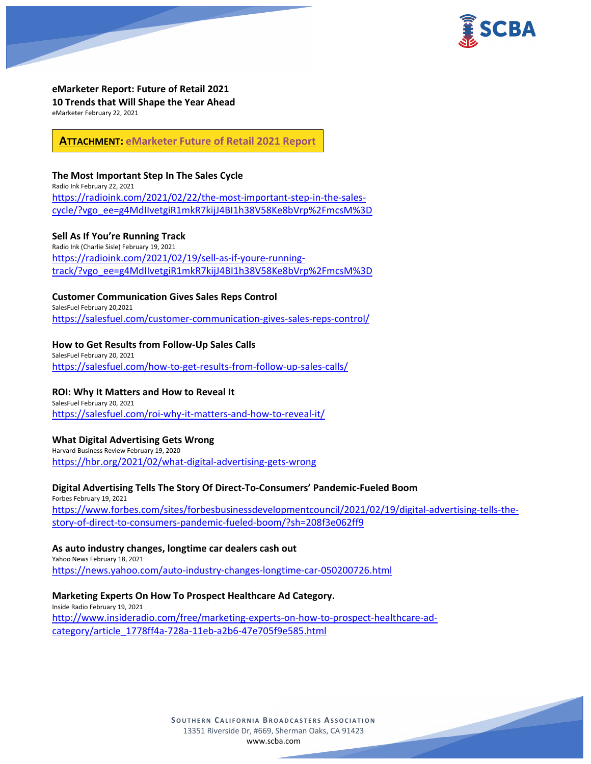

**eMarketer Report: Future of Retail 2021 10 Trends that Will Shape the Year Ahead** eMarketer February 22, 2021

**ATTACHMENT: [eMarketer Future of Retail 2021 Report](https://scba.com/emarketer-future-of-retail-2021-report/)**

### **The Most Important Step In The Sales Cycle**

Radio Ink February 22, 2021 [https://radioink.com/2021/02/22/the-most-important-step-in-the-sales](https://radioink.com/2021/02/22/the-most-important-step-in-the-sales-cycle/?vgo_ee=g4MdIIvetgiR1mkR7kijJ4BI1h38V58Ke8bVrp%2FmcsM%3D)[cycle/?vgo\\_ee=g4MdIIvetgiR1mkR7kijJ4BI1h38V58Ke8bVrp%2FmcsM%3D](https://radioink.com/2021/02/22/the-most-important-step-in-the-sales-cycle/?vgo_ee=g4MdIIvetgiR1mkR7kijJ4BI1h38V58Ke8bVrp%2FmcsM%3D)

## **Sell As If You're Running Track**

Radio Ink (Charlie Sisle) February 19, 2021 [https://radioink.com/2021/02/19/sell-as-if-youre-running](https://radioink.com/2021/02/19/sell-as-if-youre-running-track/?vgo_ee=g4MdIIvetgiR1mkR7kijJ4BI1h38V58Ke8bVrp%2FmcsM%3D)[track/?vgo\\_ee=g4MdIIvetgiR1mkR7kijJ4BI1h38V58Ke8bVrp%2FmcsM%3D](https://radioink.com/2021/02/19/sell-as-if-youre-running-track/?vgo_ee=g4MdIIvetgiR1mkR7kijJ4BI1h38V58Ke8bVrp%2FmcsM%3D)

### **Customer Communication Gives Sales Reps Control**

SalesFuel February 20,2021 <https://salesfuel.com/customer-communication-gives-sales-reps-control/>

### **How to Get Results from Follow-Up Sales Calls**

SalesFuel February 20, 2021 <https://salesfuel.com/how-to-get-results-from-follow-up-sales-calls/>

#### **ROI: Why It Matters and How to Reveal It**

SalesFuel February 20, 2021 <https://salesfuel.com/roi-why-it-matters-and-how-to-reveal-it/>

#### **What Digital Advertising Gets Wrong**

Harvard Business Review February 19, 2020 <https://hbr.org/2021/02/what-digital-advertising-gets-wrong>

## **Digital Advertising Tells The Story Of Direct-To-Consumers' Pandemic-Fueled Boom**

Forbes February 19, 2021 [https://www.forbes.com/sites/forbesbusinessdevelopmentcouncil/2021/02/19/digital-advertising-tells-the](https://www.forbes.com/sites/forbesbusinessdevelopmentcouncil/2021/02/19/digital-advertising-tells-the-story-of-direct-to-consumers-pandemic-fueled-boom/?sh=208f3e062ff9)[story-of-direct-to-consumers-pandemic-fueled-boom/?sh=208f3e062ff9](https://www.forbes.com/sites/forbesbusinessdevelopmentcouncil/2021/02/19/digital-advertising-tells-the-story-of-direct-to-consumers-pandemic-fueled-boom/?sh=208f3e062ff9)

#### **As auto industry changes, longtime car dealers cash out**

Yahoo News February 18, 2021 <https://news.yahoo.com/auto-industry-changes-longtime-car-050200726.html>

## **Marketing Experts On How To Prospect Healthcare Ad Category.**

Inside Radio February 19, 2021 [http://www.insideradio.com/free/marketing-experts-on-how-to-prospect-healthcare-ad](http://www.insideradio.com/free/marketing-experts-on-how-to-prospect-healthcare-ad-category/article_1778ff4a-728a-11eb-a2b6-47e705f9e585.html)[category/article\\_1778ff4a-728a-11eb-a2b6-47e705f9e585.html](http://www.insideradio.com/free/marketing-experts-on-how-to-prospect-healthcare-ad-category/article_1778ff4a-728a-11eb-a2b6-47e705f9e585.html)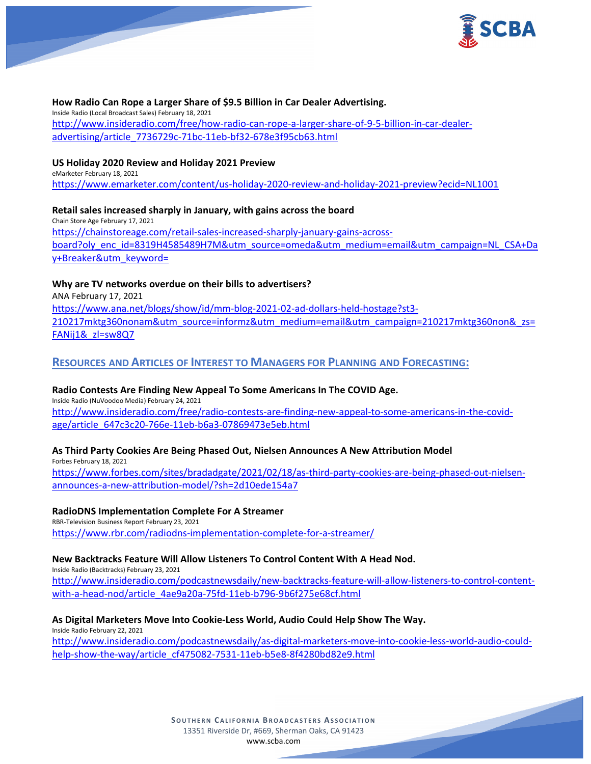

#### **How Radio Can Rope a Larger Share of \$9.5 Billion in Car Dealer Advertising.**

Inside Radio (Local Broadcast Sales) February 18, 2021 [http://www.insideradio.com/free/how-radio-can-rope-a-larger-share-of-9-5-billion-in-car-dealer](http://www.insideradio.com/free/how-radio-can-rope-a-larger-share-of-9-5-billion-in-car-dealer-advertising/article_7736729c-71bc-11eb-bf32-678e3f95cb63.html)[advertising/article\\_7736729c-71bc-11eb-bf32-678e3f95cb63.html](http://www.insideradio.com/free/how-radio-can-rope-a-larger-share-of-9-5-billion-in-car-dealer-advertising/article_7736729c-71bc-11eb-bf32-678e3f95cb63.html)

### **US Holiday 2020 Review and Holiday 2021 Preview**

eMarketer February 18, 2021 <https://www.emarketer.com/content/us-holiday-2020-review-and-holiday-2021-preview?ecid=NL1001>

### **Retail sales increased sharply in January, with gains across the board**

Chain Store Age February 17, 2021 [https://chainstoreage.com/retail-sales-increased-sharply-january-gains-across](https://chainstoreage.com/retail-sales-increased-sharply-january-gains-across-board?oly_enc_id=8319H4585489H7M&utm_source=omeda&utm_medium=email&utm_campaign=NL_CSA+Day+Breaker&utm_keyword=)[board?oly\\_enc\\_id=8319H4585489H7M&utm\\_source=omeda&utm\\_medium=email&utm\\_campaign=NL\\_CSA+Da](https://chainstoreage.com/retail-sales-increased-sharply-january-gains-across-board?oly_enc_id=8319H4585489H7M&utm_source=omeda&utm_medium=email&utm_campaign=NL_CSA+Day+Breaker&utm_keyword=) [y+Breaker&utm\\_keyword=](https://chainstoreage.com/retail-sales-increased-sharply-january-gains-across-board?oly_enc_id=8319H4585489H7M&utm_source=omeda&utm_medium=email&utm_campaign=NL_CSA+Day+Breaker&utm_keyword=)

## **Why are TV networks overdue on their bills to advertisers?**

ANA February 17, 2021

[https://www.ana.net/blogs/show/id/mm-blog-2021-02-ad-dollars-held-hostage?st3-](https://www.ana.net/blogs/show/id/mm-blog-2021-02-ad-dollars-held-hostage?st3-210217mktg360nonam&utm_source=informz&utm_medium=email&utm_campaign=210217mktg360non&_zs=FANij1&_zl=sw8Q7) [210217mktg360nonam&utm\\_source=informz&utm\\_medium=email&utm\\_campaign=210217mktg360non&\\_zs=](https://www.ana.net/blogs/show/id/mm-blog-2021-02-ad-dollars-held-hostage?st3-210217mktg360nonam&utm_source=informz&utm_medium=email&utm_campaign=210217mktg360non&_zs=FANij1&_zl=sw8Q7) [FANij1&\\_zl=sw8Q7](https://www.ana.net/blogs/show/id/mm-blog-2021-02-ad-dollars-held-hostage?st3-210217mktg360nonam&utm_source=informz&utm_medium=email&utm_campaign=210217mktg360non&_zs=FANij1&_zl=sw8Q7)

## **RESOURCES AND ARTICLES OF INTEREST TO MANAGERS FOR PLANNING AND FORECASTING:**

## **Radio Contests Are Finding New Appeal To Some Americans In The COVID Age.**

Inside Radio (NuVoodoo Media) February 24, 2021 [http://www.insideradio.com/free/radio-contests-are-finding-new-appeal-to-some-americans-in-the-covid](http://www.insideradio.com/free/radio-contests-are-finding-new-appeal-to-some-americans-in-the-covid-age/article_647c3c20-766e-11eb-b6a3-07869473e5eb.html)[age/article\\_647c3c20-766e-11eb-b6a3-07869473e5eb.html](http://www.insideradio.com/free/radio-contests-are-finding-new-appeal-to-some-americans-in-the-covid-age/article_647c3c20-766e-11eb-b6a3-07869473e5eb.html)

#### **As Third Party Cookies Are Being Phased Out, Nielsen Announces A New Attribution Model**

Forbes February 18, 2021 [https://www.forbes.com/sites/bradadgate/2021/02/18/as-third-party-cookies-are-being-phased-out-nielsen](https://www.forbes.com/sites/bradadgate/2021/02/18/as-third-party-cookies-are-being-phased-out-nielsen-announces-a-new-attribution-model/?sh=2d10ede154a7)[announces-a-new-attribution-model/?sh=2d10ede154a7](https://www.forbes.com/sites/bradadgate/2021/02/18/as-third-party-cookies-are-being-phased-out-nielsen-announces-a-new-attribution-model/?sh=2d10ede154a7)

#### **RadioDNS Implementation Complete For A Streamer**

RBR-Television Business Report February 23, 2021 <https://www.rbr.com/radiodns-implementation-complete-for-a-streamer/>

#### **New Backtracks Feature Will Allow Listeners To Control Content With A Head Nod.**

Inside Radio (Backtracks) February 23, 2021 [http://www.insideradio.com/podcastnewsdaily/new-backtracks-feature-will-allow-listeners-to-control-content](http://www.insideradio.com/podcastnewsdaily/new-backtracks-feature-will-allow-listeners-to-control-content-with-a-head-nod/article_4ae9a20a-75fd-11eb-b796-9b6f275e68cf.html)[with-a-head-nod/article\\_4ae9a20a-75fd-11eb-b796-9b6f275e68cf.html](http://www.insideradio.com/podcastnewsdaily/new-backtracks-feature-will-allow-listeners-to-control-content-with-a-head-nod/article_4ae9a20a-75fd-11eb-b796-9b6f275e68cf.html)

#### **As Digital Marketers Move Into Cookie-Less World, Audio Could Help Show The Way.**

Inside Radio February 22, 2021 [http://www.insideradio.com/podcastnewsdaily/as-digital-marketers-move-into-cookie-less-world-audio-could](http://www.insideradio.com/podcastnewsdaily/as-digital-marketers-move-into-cookie-less-world-audio-could-help-show-the-way/article_cf475082-7531-11eb-b5e8-8f4280bd82e9.html)[help-show-the-way/article\\_cf475082-7531-11eb-b5e8-8f4280bd82e9.html](http://www.insideradio.com/podcastnewsdaily/as-digital-marketers-move-into-cookie-less-world-audio-could-help-show-the-way/article_cf475082-7531-11eb-b5e8-8f4280bd82e9.html)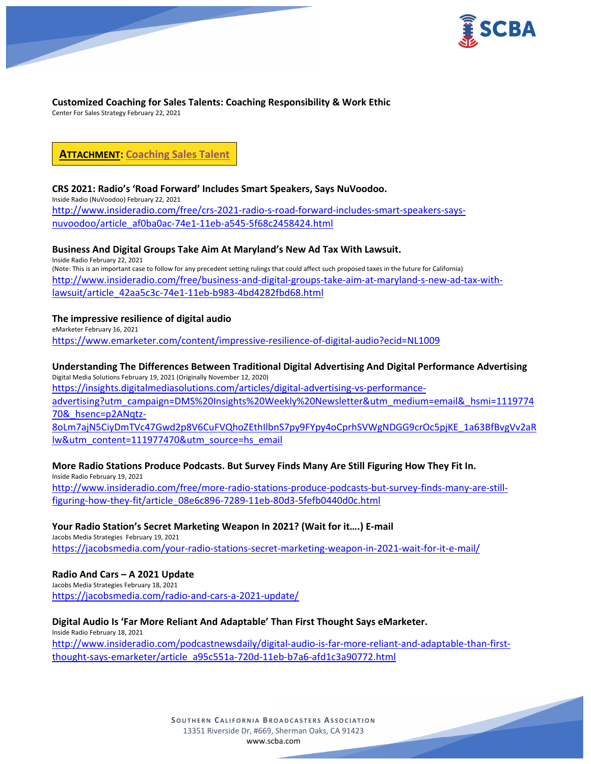

# **Customized Coaching for Sales Talents: Coaching Responsibility & Work Ethic**

Center For Sales Strategy February 22, 2021

**ATTACHMENT: [Coaching Sales Talent](https://scba.com/coaching-sales-talent/)**

# **CRS 2021: Radio's 'Road Forward' Includes Smart Speakers, Says NuVoodoo.**

Inside Radio (NuVoodoo) February 22, 2021 [http://www.insideradio.com/free/crs-2021-radio-s-road-forward-includes-smart-speakers-says](http://www.insideradio.com/free/crs-2021-radio-s-road-forward-includes-smart-speakers-says-nuvoodoo/article_af0ba0ac-74e1-11eb-a545-5f68c2458424.html)[nuvoodoo/article\\_af0ba0ac-74e1-11eb-a545-5f68c2458424.html](http://www.insideradio.com/free/crs-2021-radio-s-road-forward-includes-smart-speakers-says-nuvoodoo/article_af0ba0ac-74e1-11eb-a545-5f68c2458424.html)

# **Business And Digital Groups Take Aim At Maryland's New Ad Tax With Lawsuit.**

Inside Radio February 22, 2021 (Note: This is an important case to follow for any precedent setting rulings that could affect such proposed taxes in the future for California) [http://www.insideradio.com/free/business-and-digital-groups-take-aim-at-maryland-s-new-ad-tax-with](http://www.insideradio.com/free/business-and-digital-groups-take-aim-at-maryland-s-new-ad-tax-with-lawsuit/article_42aa5c3c-74e1-11eb-b983-4bd4282fbd68.html)[lawsuit/article\\_42aa5c3c-74e1-11eb-b983-4bd4282fbd68.html](http://www.insideradio.com/free/business-and-digital-groups-take-aim-at-maryland-s-new-ad-tax-with-lawsuit/article_42aa5c3c-74e1-11eb-b983-4bd4282fbd68.html)

# **The impressive resilience of digital audio**

eMarketer February 16, 2021 <https://www.emarketer.com/content/impressive-resilience-of-digital-audio?ecid=NL1009>

# **Understanding The Differences Between Traditional Digital Advertising And Digital Performance Advertising**

Digital Media Solutions February 19, 2021 (Originally November 12, 2020) [https://insights.digitalmediasolutions.com/articles/digital-advertising-vs-performance](https://insights.digitalmediasolutions.com/articles/digital-advertising-vs-performance-advertising?utm_campaign=DMS%20Insights%20Weekly%20Newsletter&utm_medium=email&_hsmi=111977470&_hsenc=p2ANqtz-8oLm7ajN5CiyDmTVc47Gwd2p8V6CuFVQhoZEthIlbnS7py9FYpy4oCprhSVWgNDGG9crOc5pjKE_1a63BfBvgVv2aRlw&utm_content=111977470&utm_source=hs_email)[advertising?utm\\_campaign=DMS%20Insights%20Weekly%20Newsletter&utm\\_medium=email&\\_hsmi=1119774](https://insights.digitalmediasolutions.com/articles/digital-advertising-vs-performance-advertising?utm_campaign=DMS%20Insights%20Weekly%20Newsletter&utm_medium=email&_hsmi=111977470&_hsenc=p2ANqtz-8oLm7ajN5CiyDmTVc47Gwd2p8V6CuFVQhoZEthIlbnS7py9FYpy4oCprhSVWgNDGG9crOc5pjKE_1a63BfBvgVv2aRlw&utm_content=111977470&utm_source=hs_email) [70&\\_hsenc=p2ANqtz-](https://insights.digitalmediasolutions.com/articles/digital-advertising-vs-performance-advertising?utm_campaign=DMS%20Insights%20Weekly%20Newsletter&utm_medium=email&_hsmi=111977470&_hsenc=p2ANqtz-8oLm7ajN5CiyDmTVc47Gwd2p8V6CuFVQhoZEthIlbnS7py9FYpy4oCprhSVWgNDGG9crOc5pjKE_1a63BfBvgVv2aRlw&utm_content=111977470&utm_source=hs_email)[8oLm7ajN5CiyDmTVc47Gwd2p8V6CuFVQhoZEthIlbnS7py9FYpy4oCprhSVWgNDGG9crOc5pjKE\\_1a63BfBvgVv2aR](https://insights.digitalmediasolutions.com/articles/digital-advertising-vs-performance-advertising?utm_campaign=DMS%20Insights%20Weekly%20Newsletter&utm_medium=email&_hsmi=111977470&_hsenc=p2ANqtz-8oLm7ajN5CiyDmTVc47Gwd2p8V6CuFVQhoZEthIlbnS7py9FYpy4oCprhSVWgNDGG9crOc5pjKE_1a63BfBvgVv2aRlw&utm_content=111977470&utm_source=hs_email) [lw&utm\\_content=111977470&utm\\_source=hs\\_email](https://insights.digitalmediasolutions.com/articles/digital-advertising-vs-performance-advertising?utm_campaign=DMS%20Insights%20Weekly%20Newsletter&utm_medium=email&_hsmi=111977470&_hsenc=p2ANqtz-8oLm7ajN5CiyDmTVc47Gwd2p8V6CuFVQhoZEthIlbnS7py9FYpy4oCprhSVWgNDGG9crOc5pjKE_1a63BfBvgVv2aRlw&utm_content=111977470&utm_source=hs_email)

# **More Radio Stations Produce Podcasts. But Survey Finds Many Are Still Figuring How They Fit In.**

Inside Radio February 19, 2021 [http://www.insideradio.com/free/more-radio-stations-produce-podcasts-but-survey-finds-many-are-still](http://www.insideradio.com/free/more-radio-stations-produce-podcasts-but-survey-finds-many-are-still-figuring-how-they-fit/article_08e6c896-7289-11eb-80d3-5fefb0440d0c.html)[figuring-how-they-fit/article\\_08e6c896-7289-11eb-80d3-5fefb0440d0c.html](http://www.insideradio.com/free/more-radio-stations-produce-podcasts-but-survey-finds-many-are-still-figuring-how-they-fit/article_08e6c896-7289-11eb-80d3-5fefb0440d0c.html)

# **Your Radio Station's Secret Marketing Weapon In 2021? (Wait for it….) E-mail**

Jacobs Media Strategies February 19, 2021 <https://jacobsmedia.com/your-radio-stations-secret-marketing-weapon-in-2021-wait-for-it-e-mail/>

# **Radio And Cars – A 2021 Update**

Jacobs Media Strategies February 18, 2021 <https://jacobsmedia.com/radio-and-cars-a-2021-update/>

# **Digital Audio Is 'Far More Reliant And Adaptable' Than First Thought Says eMarketer.**

Inside Radio February 18, 2021 [http://www.insideradio.com/podcastnewsdaily/digital-audio-is-far-more-reliant-and-adaptable-than-first](http://www.insideradio.com/podcastnewsdaily/digital-audio-is-far-more-reliant-and-adaptable-than-first-thought-says-emarketer/article_a95c551a-720d-11eb-b7a6-afd1c3a90772.html)[thought-says-emarketer/article\\_a95c551a-720d-11eb-b7a6-afd1c3a90772.html](http://www.insideradio.com/podcastnewsdaily/digital-audio-is-far-more-reliant-and-adaptable-than-first-thought-says-emarketer/article_a95c551a-720d-11eb-b7a6-afd1c3a90772.html)